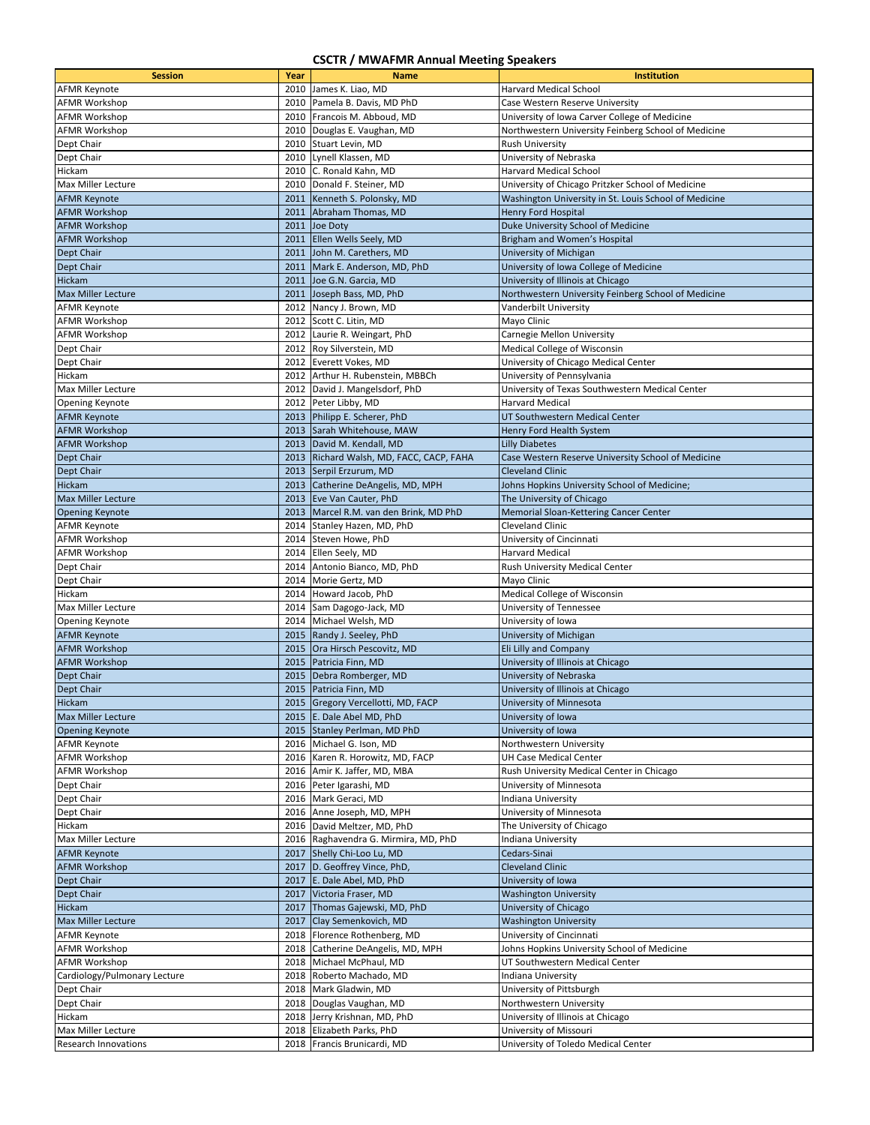## **CSCTR / MWAFMR Annual Meeting Speakers**

| <b>Session</b>               | Year | <b>Name</b>                              | <b>Institution</b>                                    |
|------------------------------|------|------------------------------------------|-------------------------------------------------------|
| <b>AFMR Keynote</b>          |      | 2010 James K. Liao, MD                   | <b>Harvard Medical School</b>                         |
| <b>AFMR Workshop</b>         |      | 2010 Pamela B. Davis, MD PhD             | Case Western Reserve University                       |
| <b>AFMR Workshop</b>         |      | 2010 Francois M. Abboud, MD              | University of Iowa Carver College of Medicine         |
| <b>AFMR Workshop</b>         |      | 2010 Douglas E. Vaughan, MD              | Northwestern University Feinberg School of Medicine   |
| Dept Chair                   |      | 2010 Stuart Levin, MD                    | Rush University                                       |
| Dept Chair                   |      | 2010 Lynell Klassen, MD                  | University of Nebraska                                |
|                              |      |                                          | <b>Harvard Medical School</b>                         |
| Hickam                       | 2010 | C. Ronald Kahn, MD                       |                                                       |
| Max Miller Lecture           |      | 2010 Donald F. Steiner, MD               | University of Chicago Pritzker School of Medicine     |
| <b>AFMR Keynote</b>          |      | 2011 Kenneth S. Polonsky, MD             | Washington University in St. Louis School of Medicine |
| <b>AFMR Workshop</b>         |      | 2011 Abraham Thomas, MD                  | <b>Henry Ford Hospital</b>                            |
| <b>AFMR Workshop</b>         | 2011 | Joe Doty                                 | Duke University School of Medicine                    |
| <b>AFMR Workshop</b>         |      | 2011 Ellen Wells Seely, MD               | Brigham and Women's Hospital                          |
| Dept Chair                   |      | 2011 John M. Carethers, MD               | University of Michigan                                |
| Dept Chair                   |      | 2011 Mark E. Anderson, MD, PhD           | University of Iowa College of Medicine                |
| Hickam                       |      | 2011 Joe G.N. Garcia, MD                 | University of Illinois at Chicago                     |
| <b>Max Miller Lecture</b>    |      | 2011 Joseph Bass, MD, PhD                | Northwestern University Feinberg School of Medicine   |
| <b>AFMR Keynote</b>          |      | 2012 Nancy J. Brown, MD                  | Vanderbilt University                                 |
| <b>AFMR Workshop</b>         |      | 2012 Scott C. Litin, MD                  | Mayo Clinic                                           |
| <b>AFMR Workshop</b>         |      | 2012 Laurie R. Weingart, PhD             | Carnegie Mellon University                            |
| Dept Chair                   |      | 2012 Roy Silverstein, MD                 | Medical College of Wisconsin                          |
| Dept Chair                   |      | 2012 Everett Vokes, MD                   | University of Chicago Medical Center                  |
| Hickam                       |      | 2012 Arthur H. Rubenstein, MBBCh         | University of Pennsylvania                            |
| Max Miller Lecture           |      | 2012 David J. Mangelsdorf, PhD           | University of Texas Southwestern Medical Center       |
| <b>Opening Keynote</b>       |      | 2012 Peter Libby, MD                     | Harvard Medical                                       |
| <b>AFMR Keynote</b>          |      | 2013 Philipp E. Scherer, PhD             | UT Southwestern Medical Center                        |
| <b>AFMR Workshop</b>         |      | 2013 Sarah Whitehouse, MAW               | Henry Ford Health System                              |
| <b>AFMR Workshop</b>         |      | 2013 David M. Kendall, MD                | <b>Lilly Diabetes</b>                                 |
| Dept Chair                   |      | 2013 Richard Walsh, MD, FACC, CACP, FAHA | Case Western Reserve University School of Medicine    |
| Dept Chair                   |      | 2013 Serpil Erzurum, MD                  | <b>Cleveland Clinic</b>                               |
| Hickam                       |      | 2013 Catherine DeAngelis, MD, MPH        | Johns Hopkins University School of Medicine;          |
| <b>Max Miller Lecture</b>    |      | 2013 Eve Van Cauter, PhD                 | The University of Chicago                             |
|                              |      |                                          |                                                       |
| <b>Opening Keynote</b>       |      | 2013 Marcel R.M. van den Brink, MD PhD   | Memorial Sloan-Kettering Cancer Center                |
| <b>AFMR Keynote</b>          |      | 2014 Stanley Hazen, MD, PhD              | <b>Cleveland Clinic</b>                               |
| <b>AFMR Workshop</b>         |      | 2014 Steven Howe, PhD                    | University of Cincinnati                              |
| <b>AFMR Workshop</b>         |      | 2014 Ellen Seely, MD                     | <b>Harvard Medical</b>                                |
| Dept Chair                   |      | 2014 Antonio Bianco, MD, PhD             | Rush University Medical Center                        |
| Dept Chair                   |      | 2014 Morie Gertz, MD                     | Mayo Clinic                                           |
| Hickam                       |      | 2014 Howard Jacob, PhD                   | Medical College of Wisconsin                          |
| <b>Max Miller Lecture</b>    |      | 2014 Sam Dagogo-Jack, MD                 | University of Tennessee                               |
| <b>Opening Keynote</b>       |      | 2014 Michael Welsh, MD                   | University of Iowa                                    |
| <b>AFMR Keynote</b>          |      | 2015 Randy J. Seeley, PhD                | University of Michigan                                |
| <b>AFMR Workshop</b>         |      | 2015 Ora Hirsch Pescovitz, MD            | Eli Lilly and Company                                 |
| <b>AFMR Workshop</b>         |      | 2015   Patricia Finn, MD                 | University of Illinois at Chicago                     |
| Dept Chair                   |      | 2015 Debra Romberger, MD                 | University of Nebraska                                |
| Dept Chair                   |      | 2015 Patricia Finn, MD                   | University of Illinois at Chicago                     |
| Hickam                       |      | 2015 Gregory Vercellotti, MD, FACP       | University of Minnesota                               |
| <b>Max Miller Lecture</b>    |      | 2015 E. Dale Abel MD, PhD                | University of Iowa                                    |
| <b>Opening Keynote</b>       |      | 2015 Stanley Perlman, MD PhD             | University of Iowa                                    |
| <b>AFMR Keynote</b>          |      | 2016 Michael G. Ison, MD                 | Northwestern University                               |
| <b>AFMR Workshop</b>         |      | 2016 Karen R. Horowitz, MD, FACP         | <b>UH Case Medical Center</b>                         |
| <b>AFMR Workshop</b>         |      | 2016 Amir K. Jaffer, MD, MBA             | Rush University Medical Center in Chicago             |
| Dept Chair                   |      | 2016 Peter Igarashi, MD                  | University of Minnesota                               |
| Dept Chair                   |      | 2016 Mark Geraci, MD                     | Indiana University                                    |
| Dept Chair                   |      | 2016 Anne Joseph, MD, MPH                | University of Minnesota                               |
| Hickam                       |      | 2016 David Meltzer, MD, PhD              | The University of Chicago                             |
| Max Miller Lecture           |      | 2016 Raghavendra G. Mirmira, MD, PhD     | Indiana University                                    |
| <b>AFMR Keynote</b>          |      | 2017 Shelly Chi-Loo Lu, MD               | Cedars-Sinai                                          |
| <b>AFMR Workshop</b>         |      | 2017 D. Geoffrey Vince, PhD,             | <b>Cleveland Clinic</b>                               |
| Dept Chair                   |      | 2017 E. Dale Abel, MD, PhD               | University of Iowa                                    |
| Dept Chair                   |      | 2017 Victoria Fraser, MD                 | <b>Washington University</b>                          |
| Hickam                       |      | 2017 Thomas Gajewski, MD, PhD            | University of Chicago                                 |
| Max Miller Lecture           | 2017 | Clay Semenkovich, MD                     | <b>Washington University</b>                          |
|                              |      |                                          |                                                       |
| <b>AFMR Keynote</b>          |      | 2018 Florence Rothenberg, MD             | University of Cincinnati                              |
| <b>AFMR Workshop</b>         |      | 2018 Catherine DeAngelis, MD, MPH        | Johns Hopkins University School of Medicine           |
| <b>AFMR Workshop</b>         |      | 2018 Michael McPhaul, MD                 | UT Southwestern Medical Center                        |
| Cardiology/Pulmonary Lecture |      | 2018 Roberto Machado, MD                 | Indiana University                                    |
| Dept Chair                   |      | 2018 Mark Gladwin, MD                    | University of Pittsburgh                              |
| Dept Chair                   |      | 2018 Douglas Vaughan, MD                 | Northwestern University                               |
| Hickam                       |      | 2018 Jerry Krishnan, MD, PhD             | University of Illinois at Chicago                     |
| Max Miller Lecture           |      | 2018 Elizabeth Parks, PhD                | University of Missouri                                |
| Research Innovations         |      | 2018 Francis Brunicardi, MD              | University of Toledo Medical Center                   |